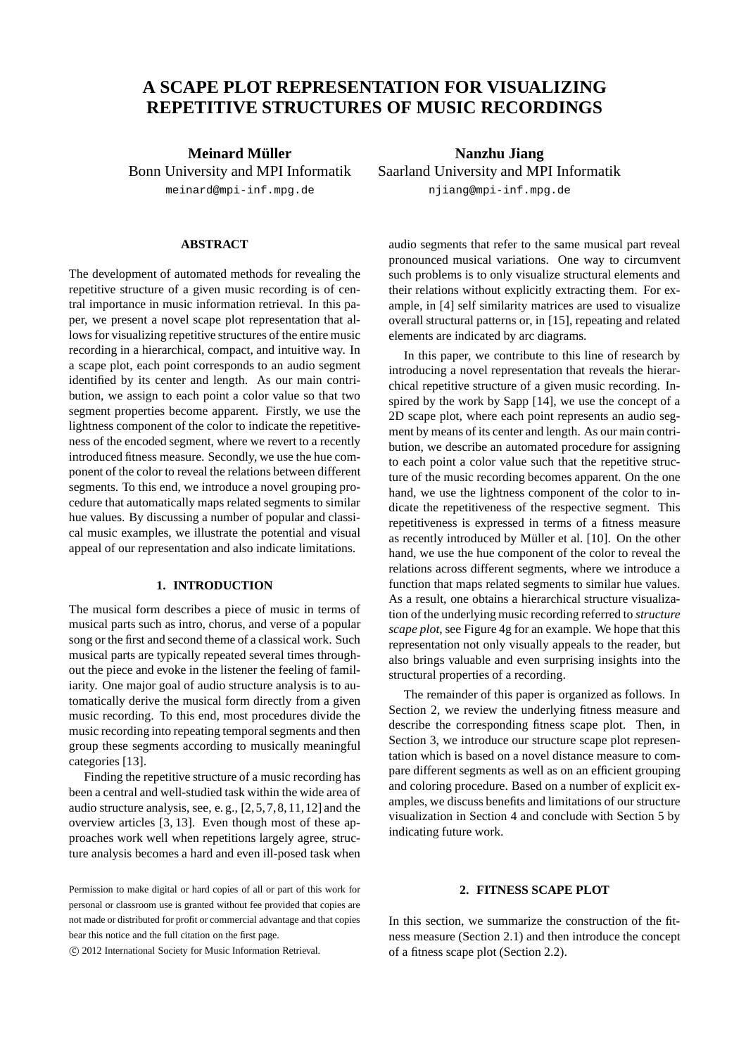# **A SCAPE PLOT REPRESENTATION FOR VISUALIZING REPETITIVE STRUCTURES OF MUSIC RECORDINGS**

**Meinard Muller ¨** Bonn University and MPI Informatik meinard@mpi-inf.mpg.de

## **ABSTRACT**

The development of automated methods for revealing the repetitive structure of a given music recording is of central importance in music information retrieval. In this paper, we present a novel scape plot representation that allows for visualizing repetitive structures of the entire music recording in a hierarchical, compact, and intuitive way. In a scape plot, each point corresponds to an audio segment identified by its center and length. As our main contribution, we assign to each point a color value so that two segment properties become apparent. Firstly, we use the lightness component of the color to indicate the repetitiveness of the encoded segment, where we revert to a recently introduced fitness measure. Secondly, we use the hue component of the color to reveal the relations between different segments. To this end, we introduce a novel grouping procedure that automatically maps related segments to similar hue values. By discussing a number of popular and classical music examples, we illustrate the potential and visual appeal of our representation and also indicate limitations.

## **1. INTRODUCTION**

The musical form describes a piece of music in terms of musical parts such as intro, chorus, and verse of a popular song or the first and second theme of a classical work. Such musical parts are typically repeated several times throughout the piece and evoke in the listener the feeling of familiarity. One major goal of audio structure analysis is to automatically derive the musical form directly from a given music recording. To this end, most procedures divide the music recording into repeating temporal segments and then group these segments according to musically meaningful categories [13].

Finding the repetitive structure of a music recording has been a central and well-studied task within the wide area of audio structure analysis, see, e. g., [2,5,7,8,11,12] and the overview articles [3, 13]. Even though most of these approaches work well when repetitions largely agree, structure analysis becomes a hard and even ill-posed task when

c 2012 International Society for Music Information Retrieval.

**Nanzhu Jiang** Saarland University and MPI Informatik njiang@mpi-inf.mpg.de

audio segments that refer to the same musical part reveal pronounced musical variations. One way to circumvent such problems is to only visualize structural elements and their relations without explicitly extracting them. For example, in [4] self similarity matrices are used to visualize overall structural patterns or, in [15], repeating and related elements are indicated by arc diagrams.

In this paper, we contribute to this line of research by introducing a novel representation that reveals the hierarchical repetitive structure of a given music recording. Inspired by the work by Sapp [14], we use the concept of a 2D scape plot, where each point represents an audio segment by means of its center and length. As our main contribution, we describe an automated procedure for assigning to each point a color value such that the repetitive structure of the music recording becomes apparent. On the one hand, we use the lightness component of the color to indicate the repetitiveness of the respective segment. This repetitiveness is expressed in terms of a fitness measure as recently introduced by Müller et al. [10]. On the other hand, we use the hue component of the color to reveal the relations across different segments, where we introduce a function that maps related segments to similar hue values. As a result, one obtains a hierarchical structure visualization of the underlying music recording referred to *structure scape plot*, see Figure 4g for an example. We hope that this representation not only visually appeals to the reader, but also brings valuable and even surprising insights into the structural properties of a recording.

The remainder of this paper is organized as follows. In Section 2, we review the underlying fitness measure and describe the corresponding fitness scape plot. Then, in Section 3, we introduce our structure scape plot representation which is based on a novel distance measure to compare different segments as well as on an efficient grouping and coloring procedure. Based on a number of explicit examples, we discuss benefits and limitations of our structure visualization in Section 4 and conclude with Section 5 by indicating future work.

## **2. FITNESS SCAPE PLOT**

In this section, we summarize the construction of the fitness measure (Section 2.1) and then introduce the concept of a fitness scape plot (Section 2.2).

Permission to make digital or hard copies of all or part of this work for personal or classroom use is granted without fee provided that copies are not made or distributed for profit or commercial advantage and that copies bear this notice and the full citation on the first page.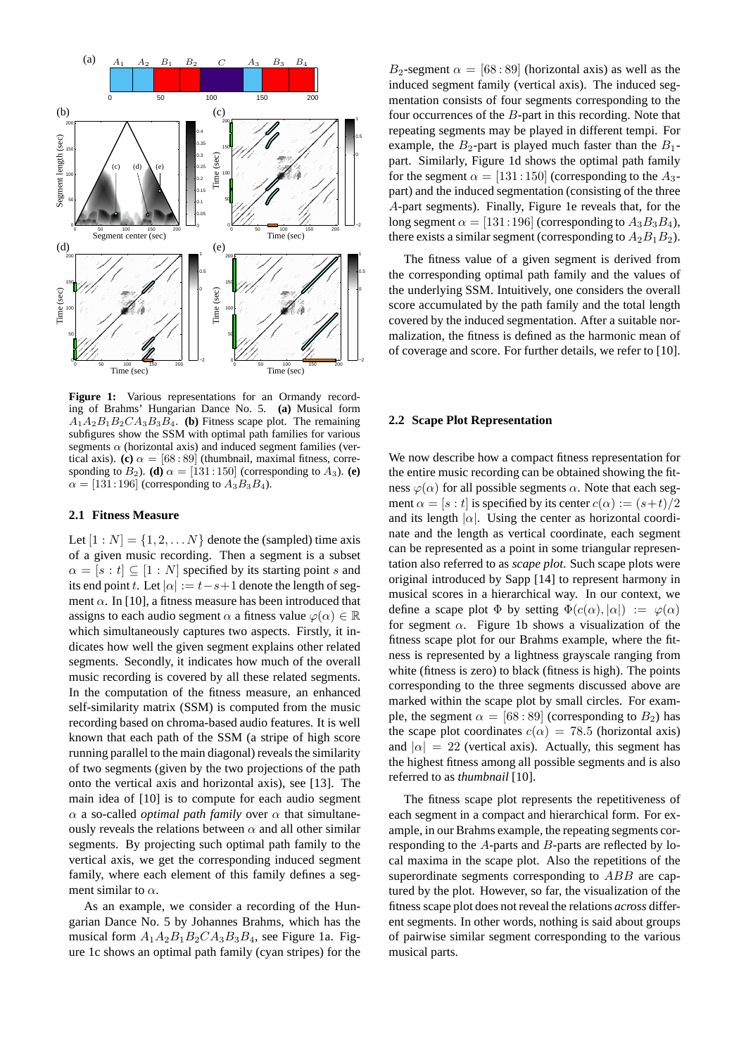

Figure 1: Various representations for an Ormandy recording of Brahms' Hungarian Dance No. 5. **(a)** Musical form  $A_1A_2B_1B_2CA_3B_3B_4$ . **(b)** Fitness scape plot. The remaining subfigures show the SSM with optimal path families for various segments  $\alpha$  (horizontal axis) and induced segment families (vertical axis). **(c)**  $\alpha = [68 : 89]$  (thumbnail, maximal fitness, corresponding to  $B_2$ ). **(d)**  $\alpha = [131:150]$  (corresponding to  $A_3$ ). **(e)**  $\alpha = [131:196]$  (corresponding to  $A_3B_3B_4$ ).

#### **2.1 Fitness Measure**

Let  $[1:N] = \{1,2,...N\}$  denote the (sampled) time axis of a given music recording. Then a segment is a subset  $\alpha = [s : t] \subseteq [1 : N]$  specified by its starting point s and its end point t. Let  $|\alpha| := t - s + 1$  denote the length of segment  $\alpha$ . In [10], a fitness measure has been introduced that assigns to each audio segment  $\alpha$  a fitness value  $\varphi(\alpha) \in \mathbb{R}$ which simultaneously captures two aspects. Firstly, it indicates how well the given segment explains other related segments. Secondly, it indicates how much of the overall music recording is covered by all these related segments. In the computation of the fitness measure, an enhanced self-similarity matrix (SSM) is computed from the music recording based on chroma-based audio features. It is well known that each path of the SSM (a stripe of high score running parallel to the main diagonal) reveals the similarity of two segments (given by the two projections of the path onto the vertical axis and horizontal axis), see [13]. The main idea of [10] is to compute for each audio segment  $\alpha$  a so-called *optimal path family* over  $\alpha$  that simultaneously reveals the relations between  $\alpha$  and all other similar segments. By projecting such optimal path family to the vertical axis, we get the corresponding induced segment family, where each element of this family defines a segment similar to  $\alpha$ .

As an example, we consider a recording of the Hungarian Dance No. 5 by Johannes Brahms, which has the musical form  $A_1A_2B_1B_2CA_3B_3B_4$ , see Figure 1a. Figure 1c shows an optimal path family (cyan stripes) for the

B<sub>2</sub>-segment  $\alpha = [68:89]$  (horizontal axis) as well as the induced segment family (vertical axis). The induced segmentation consists of four segments corresponding to the four occurrences of the B-part in this recording. Note that repeating segments may be played in different tempi. For example, the  $B_2$ -part is played much faster than the  $B_1$ part. Similarly, Figure 1d shows the optimal path family for the segment  $\alpha = [131:150]$  (corresponding to the  $A_3$ part) and the induced segmentation (consisting of the three A-part segments). Finally, Figure 1e reveals that, for the long segment  $\alpha = [131:196]$  (corresponding to  $A_3B_3B_4$ ), there exists a similar segment (corresponding to  $A_2B_1B_2$ ).

The fitness value of a given segment is derived from the corresponding optimal path family and the values of the underlying SSM. Intuitively, one considers the overall score accumulated by the path family and the total length covered by the induced segmentation. After a suitable normalization, the fitness is defined as the harmonic mean of of coverage and score. For further details, we refer to [10].

### **2.2 Scape Plot Representation**

We now describe how a compact fitness representation for the entire music recording can be obtained showing the fitness  $\varphi(\alpha)$  for all possible segments  $\alpha$ . Note that each segment  $\alpha = [s : t]$  is specified by its center  $c(\alpha) := (s+t)/2$ and its length  $|\alpha|$ . Using the center as horizontal coordinate and the length as vertical coordinate, each segment can be represented as a point in some triangular representation also referred to as *scape plot*. Such scape plots were original introduced by Sapp [14] to represent harmony in musical scores in a hierarchical way. In our context, we define a scape plot  $\Phi$  by setting  $\Phi(c(\alpha), |\alpha|) := \varphi(\alpha)$ for segment  $\alpha$ . Figure 1b shows a visualization of the fitness scape plot for our Brahms example, where the fitness is represented by a lightness grayscale ranging from white (fitness is zero) to black (fitness is high). The points corresponding to the three segments discussed above are marked within the scape plot by small circles. For example, the segment  $\alpha = [68 : 89]$  (corresponding to  $B_2$ ) has the scape plot coordinates  $c(\alpha) = 78.5$  (horizontal axis) and  $|\alpha| = 22$  (vertical axis). Actually, this segment has the highest fitness among all possible segments and is also referred to as *thumbnail* [10].

The fitness scape plot represents the repetitiveness of each segment in a compact and hierarchical form. For example, in our Brahms example, the repeating segments corresponding to the A-parts and B-parts are reflected by local maxima in the scape plot. Also the repetitions of the superordinate segments corresponding to ABB are captured by the plot. However, so far, the visualization of the fitness scape plot does not reveal the relations *across* different segments. In other words, nothing is said about groups of pairwise similar segment corresponding to the various musical parts.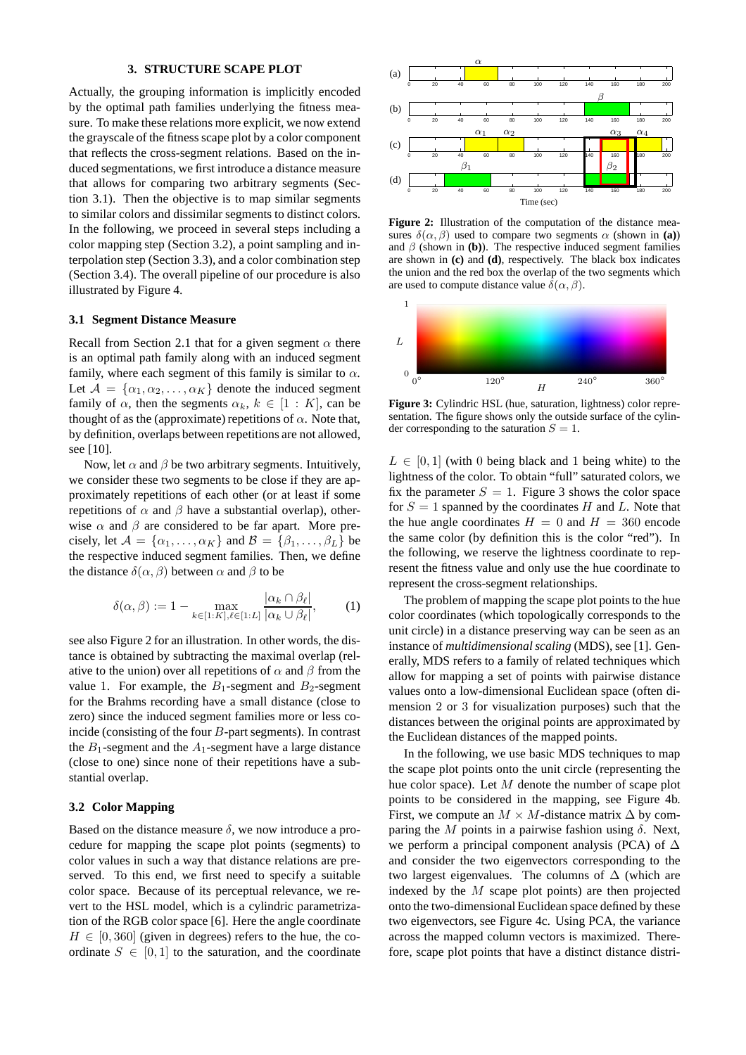#### **3. STRUCTURE SCAPE PLOT**

Actually, the grouping information is implicitly encoded by the optimal path families underlying the fitness measure. To make these relations more explicit, we now extend the grayscale of the fitness scape plot by a color component that reflects the cross-segment relations. Based on the induced segmentations, we first introduce a distance measure that allows for comparing two arbitrary segments (Section 3.1). Then the objective is to map similar segments to similar colors and dissimilar segments to distinct colors. In the following, we proceed in several steps including a color mapping step (Section 3.2), a point sampling and interpolation step (Section 3.3), and a color combination step (Section 3.4). The overall pipeline of our procedure is also illustrated by Figure 4.

#### **3.1 Segment Distance Measure**

Recall from Section 2.1 that for a given segment  $\alpha$  there is an optimal path family along with an induced segment family, where each segment of this family is similar to  $\alpha$ . Let  $A = {\alpha_1, \alpha_2, \dots, \alpha_K}$  denote the induced segment family of  $\alpha$ , then the segments  $\alpha_k, k \in [1:K]$ , can be thought of as the (approximate) repetitions of  $\alpha$ . Note that, by definition, overlaps between repetitions are not allowed, see [10].

Now, let  $\alpha$  and  $\beta$  be two arbitrary segments. Intuitively, we consider these two segments to be close if they are approximately repetitions of each other (or at least if some repetitions of  $\alpha$  and  $\beta$  have a substantial overlap), otherwise  $\alpha$  and  $\beta$  are considered to be far apart. More precisely, let  $A = {\alpha_1, \ldots, \alpha_K}$  and  $B = {\beta_1, \ldots, \beta_L}$  be the respective induced segment families. Then, we define the distance  $\delta(\alpha, \beta)$  between  $\alpha$  and  $\beta$  to be

$$
\delta(\alpha, \beta) := 1 - \max_{k \in [1:K], \ell \in [1:L]} \frac{|\alpha_k \cap \beta_\ell|}{|\alpha_k \cup \beta_\ell|},\tag{1}
$$

see also Figure 2 for an illustration. In other words, the distance is obtained by subtracting the maximal overlap (relative to the union) over all repetitions of  $\alpha$  and  $\beta$  from the value 1. For example, the  $B_1$ -segment and  $B_2$ -segment for the Brahms recording have a small distance (close to zero) since the induced segment families more or less coincide (consisting of the four B-part segments). In contrast the  $B_1$ -segment and the  $A_1$ -segment have a large distance (close to one) since none of their repetitions have a substantial overlap.

### **3.2 Color Mapping**

Based on the distance measure  $\delta$ , we now introduce a procedure for mapping the scape plot points (segments) to color values in such a way that distance relations are preserved. To this end, we first need to specify a suitable color space. Because of its perceptual relevance, we revert to the HSL model, which is a cylindric parametrization of the RGB color space [6]. Here the angle coordinate  $H \in [0, 360]$  (given in degrees) refers to the hue, the coordinate  $S \in [0, 1]$  to the saturation, and the coordinate



**Figure 2:** Illustration of the computation of the distance measures  $\delta(\alpha, \beta)$  used to compare two segments  $\alpha$  (shown in **(a)**) and  $\beta$  (shown in **(b)**). The respective induced segment families are shown in **(c)** and **(d)**, respectively. The black box indicates the union and the red box the overlap of the two segments which are used to compute distance value  $\bar{\delta}(\alpha, \beta)$ .



**Figure 3:** Cylindric HSL (hue, saturation, lightness) color representation. The figure shows only the outside surface of the cylinder corresponding to the saturation  $S = 1$ .

 $L \in [0, 1]$  (with 0 being black and 1 being white) to the lightness of the color. To obtain "full" saturated colors, we fix the parameter  $S = 1$ . Figure 3 shows the color space for  $S = 1$  spanned by the coordinates H and L. Note that the hue angle coordinates  $H = 0$  and  $H = 360$  encode the same color (by definition this is the color "red"). In the following, we reserve the lightness coordinate to represent the fitness value and only use the hue coordinate to represent the cross-segment relationships.

The problem of mapping the scape plot points to the hue color coordinates (which topologically corresponds to the unit circle) in a distance preserving way can be seen as an instance of *multidimensional scaling* (MDS), see [1]. Generally, MDS refers to a family of related techniques which allow for mapping a set of points with pairwise distance values onto a low-dimensional Euclidean space (often dimension 2 or 3 for visualization purposes) such that the distances between the original points are approximated by the Euclidean distances of the mapped points.

In the following, we use basic MDS techniques to map the scape plot points onto the unit circle (representing the hue color space). Let M denote the number of scape plot points to be considered in the mapping, see Figure 4b. First, we compute an  $M \times M$ -distance matrix  $\Delta$  by comparing the M points in a pairwise fashion using  $\delta$ . Next, we perform a principal component analysis (PCA) of ∆ and consider the two eigenvectors corresponding to the two largest eigenvalues. The columns of  $\Delta$  (which are indexed by the  $M$  scape plot points) are then projected onto the two-dimensional Euclidean space defined by these two eigenvectors, see Figure 4c. Using PCA, the variance across the mapped column vectors is maximized. Therefore, scape plot points that have a distinct distance distri-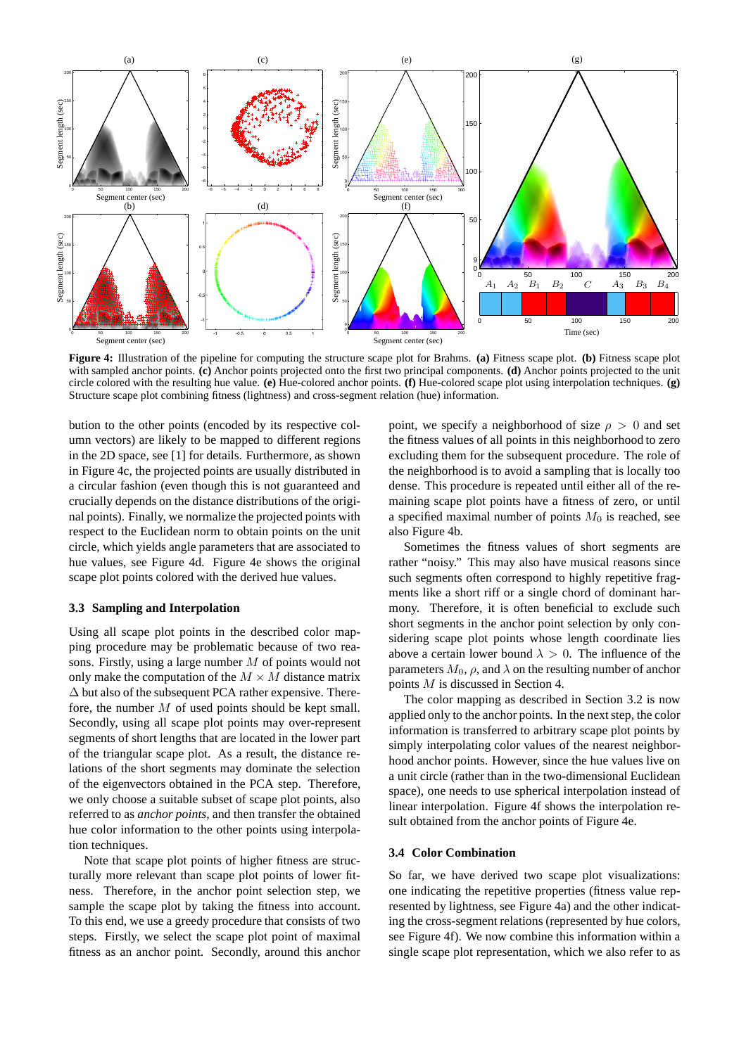

**Figure 4:** Illustration of the pipeline for computing the structure scape plot for Brahms. **(a)** Fitness scape plot. **(b)** Fitness scape plot with sampled anchor points. **(c)** Anchor points projected onto the first two principal components. **(d)** Anchor points projected to the unit circle colored with the resulting hue value. **(e)** Hue-colored anchor points. **(f)** Hue-colored scape plot using interpolation techniques. **(g)** Structure scape plot combining fitness (lightness) and cross-segment relation (hue) information.

bution to the other points (encoded by its respective column vectors) are likely to be mapped to different regions in the 2D space, see [1] for details. Furthermore, as shown in Figure 4c, the projected points are usually distributed in a circular fashion (even though this is not guaranteed and crucially depends on the distance distributions of the original points). Finally, we normalize the projected points with respect to the Euclidean norm to obtain points on the unit circle, which yields angle parameters that are associated to hue values, see Figure 4d. Figure 4e shows the original scape plot points colored with the derived hue values.

## **3.3 Sampling and Interpolation**

Using all scape plot points in the described color mapping procedure may be problematic because of two reasons. Firstly, using a large number M of points would not only make the computation of the  $M \times M$  distance matrix  $\Delta$  but also of the subsequent PCA rather expensive. Therefore, the number M of used points should be kept small. Secondly, using all scape plot points may over-represent segments of short lengths that are located in the lower part of the triangular scape plot. As a result, the distance relations of the short segments may dominate the selection of the eigenvectors obtained in the PCA step. Therefore, we only choose a suitable subset of scape plot points, also referred to as *anchor points*, and then transfer the obtained hue color information to the other points using interpolation techniques.

Note that scape plot points of higher fitness are structurally more relevant than scape plot points of lower fitness. Therefore, in the anchor point selection step, we sample the scape plot by taking the fitness into account. To this end, we use a greedy procedure that consists of two steps. Firstly, we select the scape plot point of maximal fitness as an anchor point. Secondly, around this anchor

point, we specify a neighborhood of size  $\rho > 0$  and set the fitness values of all points in this neighborhood to zero excluding them for the subsequent procedure. The role of the neighborhood is to avoid a sampling that is locally too dense. This procedure is repeated until either all of the remaining scape plot points have a fitness of zero, or until a specified maximal number of points  $M_0$  is reached, see also Figure 4b.

Sometimes the fitness values of short segments are rather "noisy." This may also have musical reasons since such segments often correspond to highly repetitive fragments like a short riff or a single chord of dominant harmony. Therefore, it is often beneficial to exclude such short segments in the anchor point selection by only considering scape plot points whose length coordinate lies above a certain lower bound  $\lambda > 0$ . The influence of the parameters  $M_0$ ,  $\rho$ , and  $\lambda$  on the resulting number of anchor points M is discussed in Section 4.

The color mapping as described in Section 3.2 is now applied only to the anchor points. In the next step, the color information is transferred to arbitrary scape plot points by simply interpolating color values of the nearest neighborhood anchor points. However, since the hue values live on a unit circle (rather than in the two-dimensional Euclidean space), one needs to use spherical interpolation instead of linear interpolation. Figure 4f shows the interpolation result obtained from the anchor points of Figure 4e.

#### **3.4 Color Combination**

So far, we have derived two scape plot visualizations: one indicating the repetitive properties (fitness value represented by lightness, see Figure 4a) and the other indicating the cross-segment relations (represented by hue colors, see Figure 4f). We now combine this information within a single scape plot representation, which we also refer to as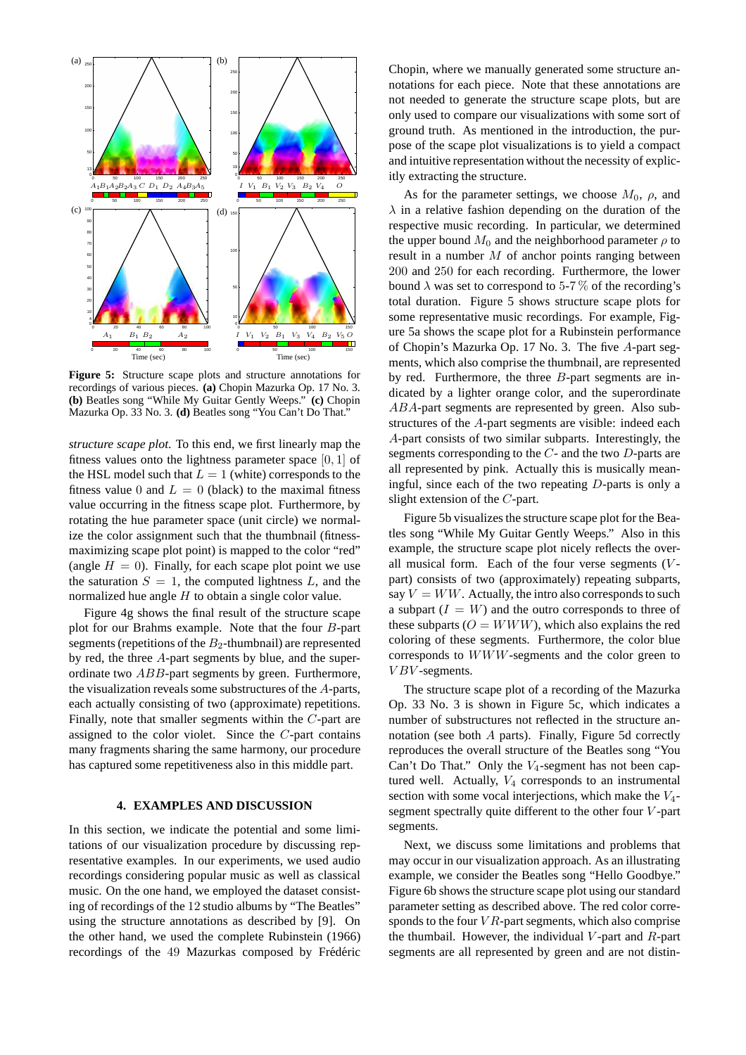

**Figure 5:** Structure scape plots and structure annotations for recordings of various pieces. **(a)** Chopin Mazurka Op. 17 No. 3. **(b)** Beatles song "While My Guitar Gently Weeps." **(c)** Chopin Mazurka Op. 33 No. 3. **(d)** Beatles song "You Can't Do That."

*structure scape plot*. To this end, we first linearly map the fitness values onto the lightness parameter space [0, 1] of the HSL model such that  $L = 1$  (white) corresponds to the fitness value 0 and  $L = 0$  (black) to the maximal fitness value occurring in the fitness scape plot. Furthermore, by rotating the hue parameter space (unit circle) we normalize the color assignment such that the thumbnail (fitnessmaximizing scape plot point) is mapped to the color "red" (angle  $H = 0$ ). Finally, for each scape plot point we use the saturation  $S = 1$ , the computed lightness L, and the normalized hue angle  $H$  to obtain a single color value.

Figure 4g shows the final result of the structure scape plot for our Brahms example. Note that the four B-part segments (repetitions of the  $B_2$ -thumbnail) are represented by red, the three A-part segments by blue, and the superordinate two ABB-part segments by green. Furthermore, the visualization reveals some substructures of the A-parts, each actually consisting of two (approximate) repetitions. Finally, note that smaller segments within the C-part are assigned to the color violet. Since the C-part contains many fragments sharing the same harmony, our procedure has captured some repetitiveness also in this middle part.

## **4. EXAMPLES AND DISCUSSION**

In this section, we indicate the potential and some limitations of our visualization procedure by discussing representative examples. In our experiments, we used audio recordings considering popular music as well as classical music. On the one hand, we employed the dataset consisting of recordings of the 12 studio albums by "The Beatles" using the structure annotations as described by [9]. On the other hand, we used the complete Rubinstein (1966) recordings of the 49 Mazurkas composed by Frédéric

Chopin, where we manually generated some structure annotations for each piece. Note that these annotations are not needed to generate the structure scape plots, but are only used to compare our visualizations with some sort of ground truth. As mentioned in the introduction, the purpose of the scape plot visualizations is to yield a compact and intuitive representation without the necessity of explicitly extracting the structure.

As for the parameter settings, we choose  $M_0$ ,  $\rho$ , and  $\lambda$  in a relative fashion depending on the duration of the respective music recording. In particular, we determined the upper bound  $M_0$  and the neighborhood parameter  $\rho$  to result in a number M of anchor points ranging between 200 and 250 for each recording. Furthermore, the lower bound  $\lambda$  was set to correspond to 5-7% of the recording's total duration. Figure 5 shows structure scape plots for some representative music recordings. For example, Figure 5a shows the scape plot for a Rubinstein performance of Chopin's Mazurka Op. 17 No. 3. The five A-part segments, which also comprise the thumbnail, are represented by red. Furthermore, the three B-part segments are indicated by a lighter orange color, and the superordinate ABA-part segments are represented by green. Also substructures of the A-part segments are visible: indeed each A-part consists of two similar subparts. Interestingly, the segments corresponding to the  $C$ - and the two  $D$ -parts are all represented by pink. Actually this is musically meaningful, since each of the two repeating D-parts is only a slight extension of the C-part.

Figure 5b visualizes the structure scape plot for the Beatles song "While My Guitar Gently Weeps." Also in this example, the structure scape plot nicely reflects the overall musical form. Each of the four verse segments  $(V$ part) consists of two (approximately) repeating subparts, say  $V = WW$ . Actually, the intro also corresponds to such a subpart  $(I = W)$  and the outro corresponds to three of these subparts ( $O = WWW$ ), which also explains the red coloring of these segments. Furthermore, the color blue corresponds to WWW-segments and the color green to  $VBV$ -segments.

The structure scape plot of a recording of the Mazurka Op. 33 No. 3 is shown in Figure 5c, which indicates a number of substructures not reflected in the structure annotation (see both A parts). Finally, Figure 5d correctly reproduces the overall structure of the Beatles song "You Can't Do That." Only the  $V_4$ -segment has not been captured well. Actually,  $V_4$  corresponds to an instrumental section with some vocal interjections, which make the  $V_4$ segment spectrally quite different to the other four  $V$ -part segments.

Next, we discuss some limitations and problems that may occur in our visualization approach. As an illustrating example, we consider the Beatles song "Hello Goodbye." Figure 6b shows the structure scape plot using our standard parameter setting as described above. The red color corresponds to the four  $VR$ -part segments, which also comprise the thumbail. However, the individual  $V$ -part and  $R$ -part segments are all represented by green and are not distin-